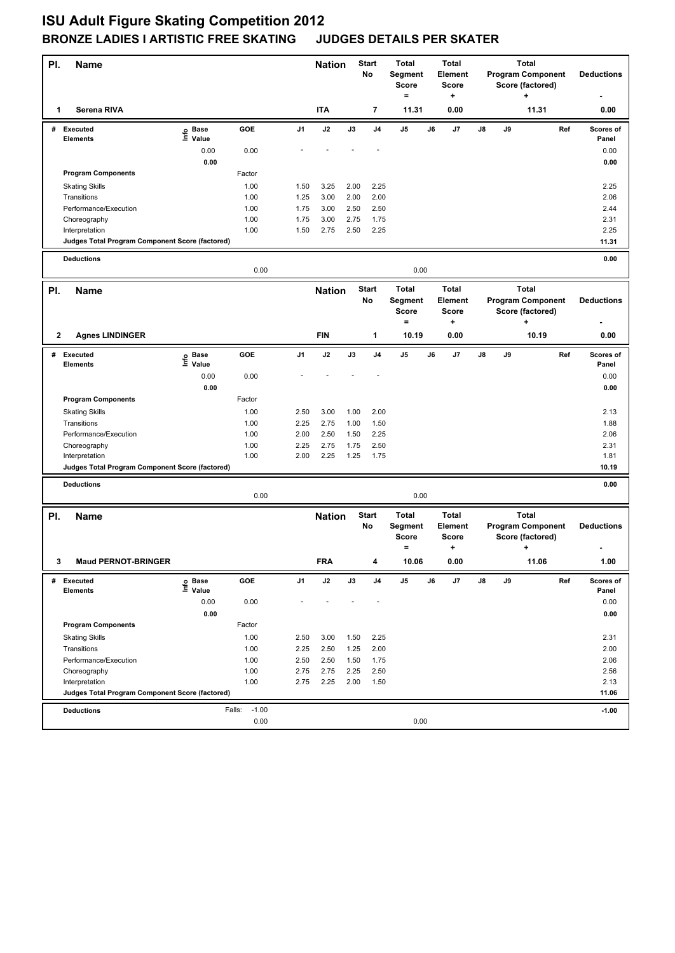## **ISU Adult Figure Skating Competition 2012 BRONZE LADIES I ARTISTIC FREE SKATING JUDGES DETAILS PER SKATER**

| PI. | <b>Name</b>                                                       |                   |                   | <b>Start</b><br><b>Nation</b><br>No |               | <b>Total</b><br>Segment<br><b>Score</b><br>$=$ | <b>Total</b><br>Element<br><b>Score</b><br>+ |                                              | <b>Total</b><br><b>Program Component</b><br>Score (factored)<br>÷ |                                              |    |    | <b>Deductions</b>         |                                              |     |                    |
|-----|-------------------------------------------------------------------|-------------------|-------------------|-------------------------------------|---------------|------------------------------------------------|----------------------------------------------|----------------------------------------------|-------------------------------------------------------------------|----------------------------------------------|----|----|---------------------------|----------------------------------------------|-----|--------------------|
| 1   | Serena RIVA                                                       |                   |                   |                                     | <b>ITA</b>    |                                                | 7                                            | 11.31                                        |                                                                   | 0.00                                         |    |    |                           | 11.31                                        |     | 0.00               |
|     | # Executed<br><b>Elements</b>                                     | e Base<br>⊑ Value | GOE               | J <sub>1</sub>                      | J2            | J3                                             | J <sub>4</sub>                               | J5                                           | J6                                                                | J7                                           | J8 | J9 |                           |                                              | Ref | Scores of<br>Panel |
|     |                                                                   | 0.00              | 0.00              |                                     |               |                                                |                                              |                                              |                                                                   |                                              |    |    |                           |                                              |     | 0.00               |
|     |                                                                   | 0.00              |                   |                                     |               |                                                |                                              |                                              |                                                                   |                                              |    |    |                           |                                              |     | 0.00               |
|     | <b>Program Components</b>                                         |                   | Factor            |                                     |               |                                                |                                              |                                              |                                                                   |                                              |    |    |                           |                                              |     |                    |
|     | <b>Skating Skills</b>                                             |                   | 1.00              | 1.50                                | 3.25          | 2.00                                           | 2.25                                         |                                              |                                                                   |                                              |    |    |                           |                                              |     | 2.25               |
|     | Transitions                                                       |                   | 1.00              | 1.25                                | 3.00          | 2.00                                           | 2.00                                         |                                              |                                                                   |                                              |    |    |                           |                                              |     | 2.06               |
|     | Performance/Execution                                             |                   | 1.00              | 1.75                                | 3.00          | 2.50                                           | 2.50                                         |                                              |                                                                   |                                              |    |    |                           |                                              |     | 2.44               |
|     | Choreography                                                      |                   | 1.00              | 1.75                                | 3.00          | 2.75                                           | 1.75                                         |                                              |                                                                   |                                              |    |    |                           |                                              |     | 2.31               |
|     | Interpretation<br>Judges Total Program Component Score (factored) |                   | 1.00              | 1.50                                | 2.75          | 2.50                                           | 2.25                                         |                                              |                                                                   |                                              |    |    |                           |                                              |     | 2.25<br>11.31      |
|     |                                                                   |                   |                   |                                     |               |                                                |                                              |                                              |                                                                   |                                              |    |    |                           |                                              |     |                    |
|     | <b>Deductions</b>                                                 |                   | 0.00              |                                     |               |                                                |                                              | 0.00                                         |                                                                   |                                              |    |    |                           |                                              |     | 0.00               |
| PI. | <b>Name</b>                                                       |                   |                   |                                     | <b>Nation</b> |                                                | <b>Start</b>                                 | <b>Total</b>                                 |                                                                   | <b>Total</b>                                 |    |    | <b>Total</b>              |                                              |     |                    |
|     |                                                                   |                   |                   |                                     |               |                                                | No                                           | Segment<br><b>Score</b><br>$=$               |                                                                   | Element<br><b>Score</b><br>÷                 |    |    | ٠                         | <b>Program Component</b><br>Score (factored) |     | <b>Deductions</b>  |
| 2   | <b>Agnes LINDINGER</b>                                            |                   |                   |                                     | <b>FIN</b>    |                                                | $\mathbf{1}$                                 | 10.19                                        |                                                                   | 0.00                                         |    |    |                           | 10.19                                        |     | 0.00               |
|     | # Executed                                                        | e Base<br>E Value | GOE               | J1                                  | J2            | J3                                             | J4                                           | J5                                           | J6                                                                | J7                                           | J8 | J9 |                           |                                              | Ref | Scores of          |
|     | <b>Elements</b>                                                   | Value             |                   |                                     |               |                                                |                                              |                                              |                                                                   |                                              |    |    |                           |                                              |     | Panel              |
|     |                                                                   | 0.00              | 0.00              |                                     |               |                                                |                                              |                                              |                                                                   |                                              |    |    |                           |                                              |     | 0.00               |
|     | <b>Program Components</b>                                         | 0.00              | Factor            |                                     |               |                                                |                                              |                                              |                                                                   |                                              |    |    |                           |                                              |     | 0.00               |
|     |                                                                   |                   | 1.00              | 2.50                                | 3.00          | 1.00                                           | 2.00                                         |                                              |                                                                   |                                              |    |    |                           |                                              |     | 2.13               |
|     | <b>Skating Skills</b><br>Transitions                              |                   | 1.00              | 2.25                                | 2.75          | 1.00                                           | 1.50                                         |                                              |                                                                   |                                              |    |    |                           |                                              |     | 1.88               |
|     | Performance/Execution                                             |                   | 1.00              | 2.00                                | 2.50          | 1.50                                           | 2.25                                         |                                              |                                                                   |                                              |    |    |                           |                                              |     | 2.06               |
|     | Choreography                                                      |                   | 1.00              | 2.25                                | 2.75          | 1.75                                           | 2.50                                         |                                              |                                                                   |                                              |    |    |                           |                                              |     | 2.31               |
|     | Interpretation                                                    |                   | 1.00              | 2.00                                | 2.25          | 1.25                                           | 1.75                                         |                                              |                                                                   |                                              |    |    |                           |                                              |     | 1.81               |
|     | Judges Total Program Component Score (factored)                   |                   |                   |                                     |               |                                                |                                              |                                              |                                                                   |                                              |    |    |                           |                                              |     | 10.19              |
|     | <b>Deductions</b>                                                 |                   |                   |                                     |               |                                                |                                              |                                              |                                                                   |                                              |    |    |                           |                                              |     | 0.00               |
|     |                                                                   |                   | 0.00              |                                     |               |                                                |                                              | 0.00                                         |                                                                   |                                              |    |    |                           |                                              |     |                    |
| PI. | <b>Name</b>                                                       |                   |                   |                                     | <b>Nation</b> |                                                | <b>Start</b><br>No                           | <b>Total</b><br>Segment<br>Score<br>$\equiv$ |                                                                   | <b>Total</b><br>Element<br><b>Score</b><br>٠ |    |    | <b>Total</b><br>$\ddot{}$ | <b>Program Component</b><br>Score (factored) |     | <b>Deductions</b>  |
| 3   | <b>Maud PERNOT-BRINGER</b>                                        |                   |                   |                                     | <b>FRA</b>    |                                                |                                              | 10.06                                        |                                                                   | 0.00                                         |    |    |                           | 11.06                                        |     | 1.00               |
| #   | <b>Executed</b>                                                   | e Base<br>⊑ Value | GOE               | J1                                  | J2            | J3                                             | J4                                           | J5                                           | J6                                                                | J7                                           | J8 | J9 |                           |                                              | Ref | Scores of          |
|     | <b>Elements</b>                                                   |                   |                   |                                     |               |                                                |                                              |                                              |                                                                   |                                              |    |    |                           |                                              |     | Panel              |
|     |                                                                   | 0.00              | 0.00              |                                     |               |                                                |                                              |                                              |                                                                   |                                              |    |    |                           |                                              |     | 0.00               |
|     | <b>Program Components</b>                                         | 0.00              | Factor            |                                     |               |                                                |                                              |                                              |                                                                   |                                              |    |    |                           |                                              |     | 0.00               |
|     | <b>Skating Skills</b>                                             |                   | 1.00              | 2.50                                |               |                                                |                                              |                                              |                                                                   |                                              |    |    |                           |                                              |     | 2.31               |
|     | Transitions                                                       |                   | 1.00              | 2.25                                | 3.00<br>2.50  | 1.50<br>1.25                                   | 2.25<br>2.00                                 |                                              |                                                                   |                                              |    |    |                           |                                              |     | 2.00               |
|     | Performance/Execution                                             |                   | 1.00              | 2.50                                | 2.50          | 1.50                                           | 1.75                                         |                                              |                                                                   |                                              |    |    |                           |                                              |     | 2.06               |
|     | Choreography                                                      |                   | 1.00              | 2.75                                | 2.75          | 2.25                                           | 2.50                                         |                                              |                                                                   |                                              |    |    |                           |                                              |     | 2.56               |
|     | Interpretation                                                    |                   | 1.00              | 2.75                                | 2.25          | 2.00                                           | 1.50                                         |                                              |                                                                   |                                              |    |    |                           |                                              |     | 2.13               |
|     | Judges Total Program Component Score (factored)                   |                   |                   |                                     |               |                                                |                                              |                                              |                                                                   |                                              |    |    |                           |                                              |     | 11.06              |
|     | <b>Deductions</b>                                                 |                   | $-1.00$<br>Falls: |                                     |               |                                                |                                              |                                              |                                                                   |                                              |    |    |                           |                                              |     | $-1.00$            |
|     |                                                                   |                   | 0.00              |                                     |               |                                                |                                              | 0.00                                         |                                                                   |                                              |    |    |                           |                                              |     |                    |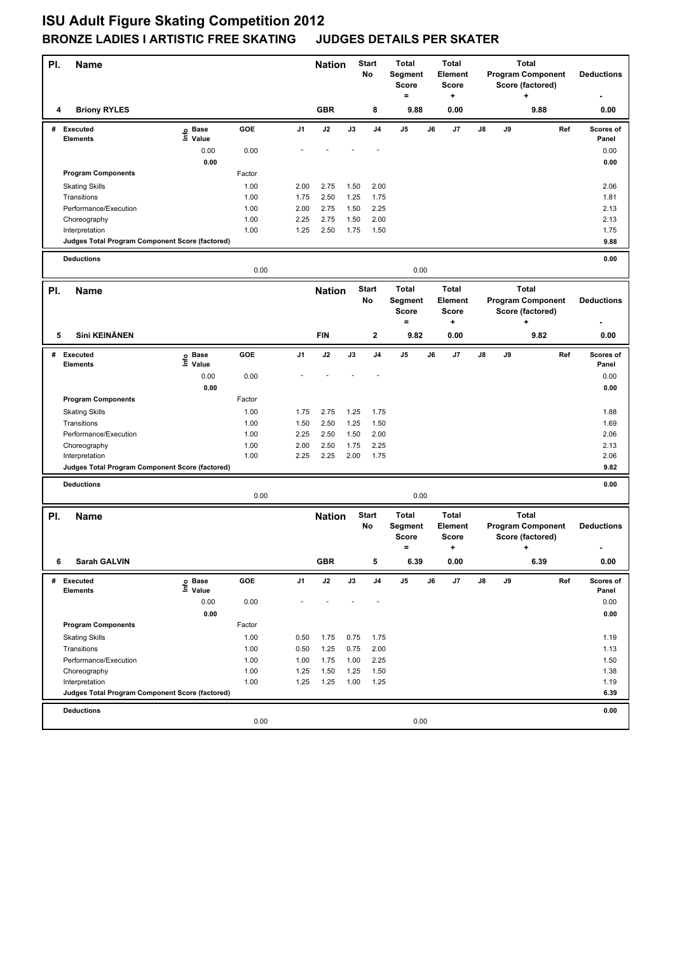## **ISU Adult Figure Skating Competition 2012 BRONZE LADIES I ARTISTIC FREE SKATING JUDGES DETAILS PER SKATER**

| PI. | <b>Name</b>                                                       |                   |              |              | <b>Nation</b> |              | <b>Start</b><br>No | <b>Total</b><br>Segment<br>Score<br>$=$        |    | <b>Total</b><br>Element<br>Score<br>÷               |    | <b>Total</b><br><b>Program Component</b><br>Score (factored)<br>$\ddot{}$ |                                                                   | <b>Deductions</b> |                     |
|-----|-------------------------------------------------------------------|-------------------|--------------|--------------|---------------|--------------|--------------------|------------------------------------------------|----|-----------------------------------------------------|----|---------------------------------------------------------------------------|-------------------------------------------------------------------|-------------------|---------------------|
| 4   | <b>Briony RYLES</b>                                               |                   |              |              | <b>GBR</b>    |              | 8                  | 9.88                                           |    | 0.00                                                |    |                                                                           | 9.88                                                              |                   | 0.00                |
|     | # Executed<br>Elements                                            | e Base<br>E Value | GOE          | J1           | J2            | J3           | J4                 | J <sub>5</sub>                                 | J6 | J7                                                  | J8 | J9                                                                        |                                                                   | Ref               | Scores of<br>Panel  |
|     |                                                                   | 0.00              | 0.00         |              |               |              |                    |                                                |    |                                                     |    |                                                                           |                                                                   |                   | 0.00                |
|     |                                                                   | 0.00              |              |              |               |              |                    |                                                |    |                                                     |    |                                                                           |                                                                   |                   | 0.00                |
|     | <b>Program Components</b>                                         |                   | Factor       |              |               |              |                    |                                                |    |                                                     |    |                                                                           |                                                                   |                   |                     |
|     | <b>Skating Skills</b>                                             |                   | 1.00         | 2.00         | 2.75          | 1.50         | 2.00               |                                                |    |                                                     |    |                                                                           |                                                                   |                   | 2.06                |
|     | Transitions                                                       |                   | 1.00         | 1.75         | 2.50          | 1.25         | 1.75               |                                                |    |                                                     |    |                                                                           |                                                                   |                   | 1.81                |
|     | Performance/Execution                                             |                   | 1.00         | 2.00         | 2.75          | 1.50         | 2.25               |                                                |    |                                                     |    |                                                                           |                                                                   |                   | 2.13                |
|     | Choreography<br>Interpretation                                    |                   | 1.00<br>1.00 | 2.25<br>1.25 | 2.75<br>2.50  | 1.50<br>1.75 | 2.00<br>1.50       |                                                |    |                                                     |    |                                                                           |                                                                   |                   | 2.13<br>1.75        |
|     | Judges Total Program Component Score (factored)                   |                   |              |              |               |              |                    |                                                |    |                                                     |    |                                                                           |                                                                   |                   | 9.88                |
|     |                                                                   |                   |              |              |               |              |                    |                                                |    |                                                     |    |                                                                           |                                                                   |                   |                     |
|     | <b>Deductions</b>                                                 |                   | 0.00         |              |               |              |                    | 0.00                                           |    |                                                     |    |                                                                           |                                                                   |                   | 0.00                |
| PI. | <b>Name</b>                                                       |                   |              |              | <b>Nation</b> |              | <b>Start</b>       | <b>Total</b>                                   |    | <b>Total</b>                                        |    |                                                                           | <b>Total</b>                                                      |                   |                     |
|     |                                                                   |                   |              |              |               |              | No                 | Segment                                        |    | Element                                             |    |                                                                           | <b>Program Component</b>                                          |                   | <b>Deductions</b>   |
|     |                                                                   |                   |              |              |               |              |                    | <b>Score</b>                                   |    | <b>Score</b>                                        |    |                                                                           | Score (factored)                                                  |                   |                     |
|     |                                                                   |                   |              |              |               |              |                    | $=$                                            |    | +                                                   |    |                                                                           | $\ddot{}$                                                         |                   |                     |
| 5   | Sini KEINÄNEN                                                     |                   |              |              | <b>FIN</b>    |              | $\mathbf{2}$       | 9.82                                           |    | 0.00                                                |    |                                                                           | 9.82                                                              |                   | 0.00                |
| #   | Executed<br><b>Elements</b>                                       | e Base<br>⊑ Value | GOE          | J1           | J2            | J3           | J <sub>4</sub>     | J5                                             | J6 | J7                                                  | J8 | J9                                                                        |                                                                   | Ref               | Scores of<br>Panel  |
|     |                                                                   | 0.00              | 0.00         |              |               |              |                    |                                                |    |                                                     |    |                                                                           |                                                                   |                   | 0.00                |
|     |                                                                   | 0.00              |              |              |               |              |                    |                                                |    |                                                     |    |                                                                           |                                                                   |                   | 0.00                |
|     | <b>Program Components</b>                                         |                   | Factor       |              |               |              |                    |                                                |    |                                                     |    |                                                                           |                                                                   |                   |                     |
|     | <b>Skating Skills</b>                                             |                   | 1.00         | 1.75         | 2.75          | 1.25         | 1.75               |                                                |    |                                                     |    |                                                                           |                                                                   |                   | 1.88                |
|     | Transitions                                                       |                   | 1.00         | 1.50         | 2.50          | 1.25         | 1.50               |                                                |    |                                                     |    |                                                                           |                                                                   |                   | 1.69                |
|     | Performance/Execution                                             |                   | 1.00         | 2.25         | 2.50          | 1.50         | 2.00               |                                                |    |                                                     |    |                                                                           |                                                                   |                   | 2.06                |
|     | Choreography                                                      |                   | 1.00         | 2.00         | 2.50          | 1.75         | 2.25               |                                                |    |                                                     |    |                                                                           |                                                                   |                   | 2.13                |
|     | Interpretation<br>Judges Total Program Component Score (factored) |                   | 1.00         | 2.25         | 2.25          | 2.00         | 1.75               |                                                |    |                                                     |    |                                                                           |                                                                   |                   | 2.06<br>9.82        |
|     |                                                                   |                   |              |              |               |              |                    |                                                |    |                                                     |    |                                                                           |                                                                   |                   |                     |
|     | <b>Deductions</b>                                                 |                   | 0.00         |              |               |              |                    | 0.00                                           |    |                                                     |    |                                                                           |                                                                   |                   | 0.00                |
|     |                                                                   |                   |              |              |               |              |                    |                                                |    |                                                     |    |                                                                           |                                                                   |                   |                     |
| PI. | <b>Name</b>                                                       |                   |              |              | <b>Nation</b> |              | <b>Start</b><br>No | <b>Total</b><br>Segment<br><b>Score</b><br>$=$ |    | <b>Total</b><br><b>Element</b><br><b>Score</b><br>٠ |    |                                                                           | <b>Total</b><br><b>Program Component</b><br>Score (factored)<br>٠ |                   | <b>Deductions</b>   |
| 6   | Sarah GALVIN                                                      |                   |              |              | <b>GBR</b>    |              | 5                  | 6.39                                           |    | 0.00                                                |    |                                                                           | 6.39                                                              |                   | $\boldsymbol{0.00}$ |
|     | # Executed                                                        | e Base<br>⊑ Value | GOE          | J1           | J2            | J3           | J4                 | J5                                             | J6 | J7                                                  | J8 | J9                                                                        |                                                                   | Ref               | Scores of           |
|     | <b>Elements</b>                                                   |                   |              |              |               |              |                    |                                                |    |                                                     |    |                                                                           |                                                                   |                   | Panel               |
|     |                                                                   | 0.00              | 0.00         |              |               |              |                    |                                                |    |                                                     |    |                                                                           |                                                                   |                   | 0.00                |
|     | <b>Program Components</b>                                         | 0.00              | Factor       |              |               |              |                    |                                                |    |                                                     |    |                                                                           |                                                                   |                   | 0.00                |
|     | <b>Skating Skills</b>                                             |                   | 1.00         | 0.50         | 1.75          | 0.75         | 1.75               |                                                |    |                                                     |    |                                                                           |                                                                   |                   | 1.19                |
|     | Transitions                                                       |                   | 1.00         | 0.50         | 1.25          | 0.75         | 2.00               |                                                |    |                                                     |    |                                                                           |                                                                   |                   | 1.13                |
|     | Performance/Execution                                             |                   | 1.00         | 1.00         | 1.75          | 1.00         | 2.25               |                                                |    |                                                     |    |                                                                           |                                                                   |                   | 1.50                |
|     | Choreography                                                      |                   | 1.00         | 1.25         | 1.50          | 1.25         | 1.50               |                                                |    |                                                     |    |                                                                           |                                                                   |                   | 1.38                |
|     | Interpretation                                                    |                   | 1.00         | 1.25         | 1.25          | 1.00         | 1.25               |                                                |    |                                                     |    |                                                                           |                                                                   |                   | 1.19                |
|     | Judges Total Program Component Score (factored)                   |                   |              |              |               |              |                    |                                                |    |                                                     |    |                                                                           |                                                                   |                   | 6.39                |
|     | <b>Deductions</b>                                                 |                   |              |              |               |              |                    |                                                |    |                                                     |    |                                                                           |                                                                   |                   | 0.00                |
|     |                                                                   |                   | 0.00         |              |               |              |                    | 0.00                                           |    |                                                     |    |                                                                           |                                                                   |                   |                     |